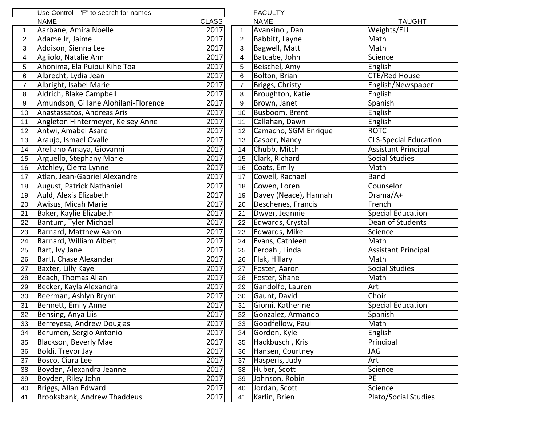|                | Use Control - "F" to search for names |              |                  | <b>FACULTY</b>               |                              |
|----------------|---------------------------------------|--------------|------------------|------------------------------|------------------------------|
|                | <b>NAME</b>                           | <b>CLASS</b> |                  | <b>NAME</b><br><b>TAUGHT</b> |                              |
| $\mathbf{1}$   | Aarbane, Amira Noelle                 | 2017         | $\mathbf{1}$     | Avansino, Dan                | Weights/ELL                  |
| $\overline{2}$ | Adame Jr, Jaime                       | 2017         | 2                | Babbitt, Layne               | Math                         |
| 3              | Addison, Sienna Lee                   | 2017         | 3                | Bagwell, Matt                | Math                         |
| 4              | Agliolo, Natalie Ann                  | 2017         | $\overline{4}$   | Batcabe, John                | Science                      |
| 5              | Ahonima, Ela Puipui Kihe Toa          | 2017         | $\sqrt{5}$       | Beischel, Amy                | English                      |
| 6              | Albrecht, Lydia Jean                  | 2017         | 6                | Bolton, Brian                | <b>CTE/Red House</b>         |
| $\overline{7}$ | Albright, Isabel Marie                | 2017         | $\boldsymbol{7}$ | Briggs, Christy              | English/Newspaper            |
| 8              | Aldrich, Blake Campbell               | 2017         | 8                | Broughton, Katie             | English                      |
| 9              | Amundson, Gillane Alohilani-Florence  | 2017         | $\boldsymbol{9}$ | Brown, Janet                 | Spanish                      |
| 10             | Anastassatos, Andreas Aris            | 2017         | 10               | Busboom, Brent               | English                      |
| 11             | Angleton Hintermeyer, Kelsey Anne     | 2017         | 11               | Callahan, Dawn               | English                      |
| 12             | Antwi, Amabel Asare                   | 2017         | 12               | Camacho, SGM Enrique         | <b>ROTC</b>                  |
| 13             | Araujo, Ismael Ovalle                 | 2017         | 13               | Casper, Nancy                | <b>CLS-Special Education</b> |
| 14             | Arellano Amaya, Giovanni              | 2017         | 14               | Chubb, Mitch                 | <b>Assistant Principal</b>   |
| 15             | Arguello, Stephany Marie              | 2017         | 15               | Clark, Richard               | <b>Social Studies</b>        |
| 16             | Atchley, Cierra Lynne                 | 2017         | 16               | Coats, Emily                 | Math                         |
| 17             | Atlan, Jean-Gabriel Alexandre         | 2017         | 17               | Cowell, Rachael              | Band                         |
| 18             | August, Patrick Nathaniel             | 2017         | 18               | Cowen, Loren                 | Counselor                    |
| 19             | Auld, Alexis Elizabeth                | 2017         | 19               | Davey (Neace), Hannah        | Drama/A+                     |
| 20             | Awisus, Micah Marie                   | 2017         | 20               | Deschenes, Francis           | French                       |
| 21             | Baker, Kaylie Elizabeth               | 2017         | 21               | Dwyer, Jeannie               | <b>Special Education</b>     |
| 22             | Bantum, Tyler Michael                 | 2017         | 22               | Edwards, Crystal             | Dean of Students             |
| 23             | <b>Barnard, Matthew Aaron</b>         | 2017         | 23               | Edwards, Mike                | Science                      |
| 24             | <b>Barnard, William Albert</b>        | 2017         | 24               | Evans, Cathleen              | Math                         |
| 25             | Bart, Ivy Jane                        | 2017         | 25               | Feroah, Linda                | <b>Assistant Principal</b>   |
| 26             | Bartl, Chase Alexander                | 2017         | 26               | Flak, Hillary                | Math                         |
| 27             | Baxter, Lilly Kaye                    | 2017         | 27               | Foster, Aaron                | <b>Social Studies</b>        |
| 28             | Beach, Thomas Allan                   | 2017         | 28               | Foster, Shane                | Math                         |
| 29             | Becker, Kayla Alexandra               | 2017         | 29               | Gandolfo, Lauren             | Art                          |
| 30             | Beerman, Ashlyn Brynn                 | 2017         | 30               | Gaunt, David                 | Choir                        |
| 31             | Bennett, Emily Anne                   | 2017         | 31               | Giomi, Katherine             | <b>Special Education</b>     |
| 32             | Bensing, Anya Liis                    | 2017         | 32               | Gonzalez, Armando            | Spanish                      |
| 33             | Berreyesa, Andrew Douglas             | 2017         | 33               | Goodfellow, Paul             | Math                         |
| 34             | Berumen, Sergio Antonio               | 2017         | 34               | Gordon, Kyle                 | English                      |
| 35             | Blackson, Beverly Mae                 | 2017         | 35               | Hackbusch, Kris              | Principal                    |
| 36             | Boldi, Trevor Jay                     | 2017         | 36               | Hansen, Courtney             | JAG                          |
| 37             | Bosco, Ciara Lee                      | 2017         | 37               | Hasperis, Judy               | Art                          |
| 38             | Boyden, Alexandra Jeanne              | 2017         | 38               | Huber, Scott                 | Science                      |
| 39             | Boyden, Riley John                    | 2017         | 39               | Johnson, Robin               | PE                           |
| 40             | Briggs, Allan Edward                  | 2017         | 40               | Jordan, Scott                | Science                      |
| 41             | <b>Brooksbank, Andrew Thaddeus</b>    | 2017         | 41               | Karlin, Brien                | Plato/Social Studies         |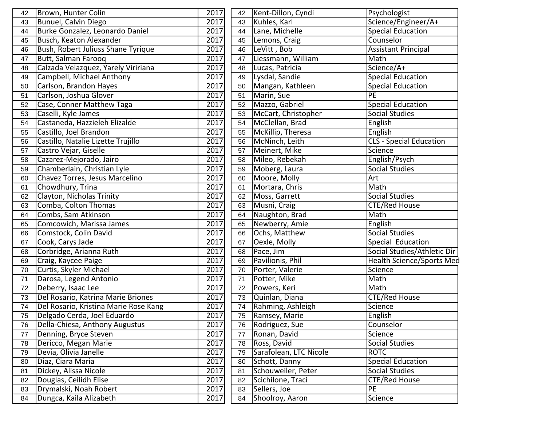| 42 | Brown, Hunter Colin                   | 2017 | 42 | Kent-Dillon, Cyndi     | Psychologist                     |
|----|---------------------------------------|------|----|------------------------|----------------------------------|
| 43 | Bunuel, Calvin Diego                  | 2017 | 43 | Kuhles, Karl           | Science/Engineer/A+              |
| 44 | Burke Gonzalez, Leonardo Daniel       | 2017 | 44 | Lane, Michelle         | Special Education                |
| 45 | Busch, Keaton Alexander               | 2017 | 45 | Lemons, Craig          | Counselor                        |
| 46 | Bush, Robert Juliuss Shane Tyrique    | 2017 | 46 | LeVitt, Bob            | <b>Assistant Principal</b>       |
| 47 | Butt, Salman Farooq                   | 2017 | 47 | Liessmann, William     | Math                             |
| 48 | Calzada Velazquez, Yarely Viririana   | 2017 | 48 | Lucas, Patricia        | Science/A+                       |
| 49 | Campbell, Michael Anthony             | 2017 | 49 | Lysdal, Sandie         | <b>Special Education</b>         |
| 50 | Carlson, Brandon Hayes                | 2017 | 50 | Mangan, Kathleen       | <b>Special Education</b>         |
| 51 | Carlson, Joshua Glover                | 2017 | 51 | Marin, Sue             | PE                               |
| 52 | Case, Conner Matthew Taga             | 2017 | 52 | Mazzo, Gabriel         | <b>Special Education</b>         |
| 53 | Caselli, Kyle James                   | 2017 | 53 | McCart, Christopher    | Social Studies                   |
| 54 | Castaneda, Hazzieleh Elizalde         | 2017 | 54 | McClellan, Brad        | English                          |
| 55 | Castillo, Joel Brandon                | 2017 | 55 | McKillip, Theresa      | English                          |
| 56 | Castillo, Natalie Lizette Trujillo    | 2017 | 56 | McNinch, Leith         | CLS - Special Education          |
| 57 | Castro Vejar, Giselle                 | 2017 | 57 | Meinert, Mike          | Science                          |
| 58 | Cazarez-Mejorado, Jairo               | 2017 | 58 | Mileo, Rebekah         | English/Psych                    |
| 59 | Chamberlain, Christian Lyle           | 2017 | 59 | Moberg, Laura          | <b>Social Studies</b>            |
| 60 | Chavez Torres, Jesus Marcelino        | 2017 | 60 | Moore, Molly           | Art                              |
| 61 | Chowdhury, Trina                      | 2017 | 61 | Mortara, Chris         | Math                             |
| 62 | Clayton, Nicholas Trinity             | 2017 | 62 | Moss, Garrett          | Social Studies                   |
| 63 | Comba, Colton Thomas                  | 2017 | 63 | Musni, Craig           | <b>CTE/Red House</b>             |
| 64 | Combs, Sam Atkinson                   | 2017 | 64 | Naughton, Brad         | Math                             |
| 65 | Comcowich, Marissa James              | 2017 | 65 | Newberry, Amie         | English                          |
| 66 | Comstock, Colin David                 | 2017 | 66 | Ochs, Matthew          | Social Studies                   |
| 67 | Cook, Carys Jade                      | 2017 | 67 | Oexle, Molly           | Special Education                |
| 68 | Corbridge, Arianna Ruth               | 2017 | 68 | Pace, Jim              | Social Studies/Athletic Dir      |
| 69 | Craig, Kaycee Paige                   | 2017 | 69 | Pavilionis, Phil       | <b>Health Science/Sports Med</b> |
| 70 | Curtis, Skyler Michael                | 2017 | 70 | Porter, Valerie        | Science                          |
| 71 | Darosa, Legend Antonio                | 2017 | 71 | Potter, Mike           | Math                             |
| 72 | Deberry, Isaac Lee                    | 2017 | 72 | Powers, Keri           | Math                             |
| 73 | Del Rosario, Katrina Marie Briones    | 2017 | 73 | Quinlan, Diana         | <b>CTE/Red House</b>             |
| 74 | Del Rosario, Kristina Marie Rose Kang | 2017 | 74 | Rahming, Ashleigh      | Science                          |
| 75 | Delgado Cerda, Joel Eduardo           | 2017 | 75 | Ramsey, Marie          | English                          |
| 76 | Della-Chiesa, Anthony Augustus        | 2017 | 76 | Rodriguez, Sue         | Counselor                        |
| 77 | Denning, Bryce Steven                 | 2017 | 77 | Ronan, David           | Science                          |
| 78 | Dericco, Megan Marie                  | 2017 | 78 | Ross, David            | <b>Social Studies</b>            |
| 79 | Devia, Olivia Janelle                 | 2017 | 79 | Sarafolean, LTC Nicole | <b>ROTC</b>                      |
| 80 | Diaz, Ciara Maria                     | 2017 | 80 | Schott, Danny          | <b>Special Education</b>         |
| 81 | Dickey, Alissa Nicole                 | 2017 | 81 | Schouweiler, Peter     | <b>Social Studies</b>            |
| 82 | Douglas, Ceilidh Elise                | 2017 | 82 | Scichilone, Traci      | CTE/Red House                    |
| 83 | Drymalski, Noah Robert                | 2017 | 83 | Sellers, Joe           | PE                               |
| 84 | Dungca, Kaila Alizabeth               | 2017 | 84 | Shoolroy, Aaron        | Science                          |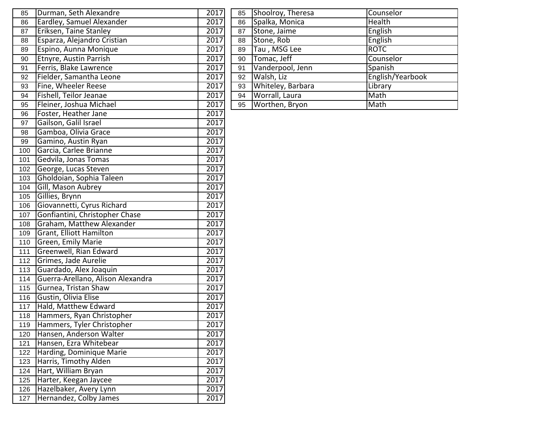| 85  | Durman, Seth Alexandre            | 2017 | 85 | Shoolroy, Theresa | Counselor        |
|-----|-----------------------------------|------|----|-------------------|------------------|
| 86  | Eardley, Samuel Alexander         | 2017 | 86 | Spalka, Monica    | <b>Health</b>    |
| 87  | Eriksen, Taine Stanley            | 2017 | 87 | Stone, Jaime      | English          |
| 88  | Esparza, Alejandro Cristian       | 2017 | 88 | Stone, Rob        | English          |
| 89  | Espino, Aunna Monique             | 2017 | 89 | Tau, MSG Lee      | <b>ROTC</b>      |
| 90  | Etnyre, Austin Parrish            | 2017 | 90 | Tomac, Jeff       | Counselor        |
| 91  | Ferris, Blake Lawrence            | 2017 | 91 | Vanderpool, Jenn  | Spanish          |
| 92  | Fielder, Samantha Leone           | 2017 | 92 | Walsh, Liz        | English/Yearbook |
| 93  | Fine, Wheeler Reese               | 2017 | 93 | Whiteley, Barbara | Library          |
| 94  | Fishell, Teilor Jeanae            | 2017 | 94 | Worrall, Laura    | Math             |
| 95  | Fleiner, Joshua Michael           | 2017 | 95 | Worthen, Bryon    | Math             |
| 96  | Foster, Heather Jane              | 2017 |    |                   |                  |
| 97  | Gailson, Galil Israel             | 2017 |    |                   |                  |
| 98  | Gamboa, Olivia Grace              | 2017 |    |                   |                  |
| 99  | Gamino, Austin Ryan               | 2017 |    |                   |                  |
| 100 | Garcia, Carlee Brianne            | 2017 |    |                   |                  |
| 101 | Gedvila, Jonas Tomas              | 2017 |    |                   |                  |
| 102 | George, Lucas Steven              | 2017 |    |                   |                  |
| 103 | Gholdoian, Sophia Taleen          | 2017 |    |                   |                  |
| 104 | Gill, Mason Aubrey                | 2017 |    |                   |                  |
| 105 | Gillies, Brynn                    | 2017 |    |                   |                  |
| 106 | Giovannetti, Cyrus Richard        | 2017 |    |                   |                  |
| 107 | Gonfiantini, Christopher Chase    | 2017 |    |                   |                  |
| 108 | Graham, Matthew Alexander         | 2017 |    |                   |                  |
| 109 | Grant, Elliott Hamilton           | 2017 |    |                   |                  |
| 110 | Green, Emily Marie                | 2017 |    |                   |                  |
| 111 | Greenwell, Rian Edward            | 2017 |    |                   |                  |
| 112 | Grimes, Jade Aurelie              | 2017 |    |                   |                  |
| 113 | Guardado, Alex Joaquin            | 2017 |    |                   |                  |
| 114 | Guerra-Arellano, Alison Alexandra | 2017 |    |                   |                  |
| 115 | Gurnea, Tristan Shaw              | 2017 |    |                   |                  |
| 116 | Gustin, Olivia Elise              | 2017 |    |                   |                  |
| 117 | Hald, Matthew Edward              | 2017 |    |                   |                  |
| 118 | Hammers, Ryan Christopher         | 2017 |    |                   |                  |
| 119 | Hammers, Tyler Christopher        | 2017 |    |                   |                  |
| 120 | Hansen, Anderson Walter           | 2017 |    |                   |                  |
| 121 | Hansen, Ezra Whitebear            | 2017 |    |                   |                  |
| 122 | Harding, Dominique Marie          | 2017 |    |                   |                  |
| 123 | Harris, Timothy Alden             | 2017 |    |                   |                  |
| 124 | Hart, William Bryan               | 2017 |    |                   |                  |
| 125 | Harter, Keegan Jaycee             | 2017 |    |                   |                  |
| 126 | Hazelbaker, Avery Lynn            | 2017 |    |                   |                  |
| 127 | Hernandez, Colby James            | 2017 |    |                   |                  |

| 85 | Shoolroy, Theresa | Counselor        |
|----|-------------------|------------------|
| 86 | Spalka, Monica    | Health           |
| 87 | Stone, Jaime      | English          |
| 88 | Stone, Rob        | English          |
| 89 | Tau, MSG Lee      | <b>ROTC</b>      |
| 90 | Tomac, Jeff       | Counselor        |
| 91 | Vanderpool, Jenn  | Spanish          |
| 92 | Walsh, Liz        | English/Yearbook |
| 93 | Whiteley, Barbara | Library          |
| 94 | Worrall, Laura    | Math             |
| 95 | Worthen, Bryon    | Math             |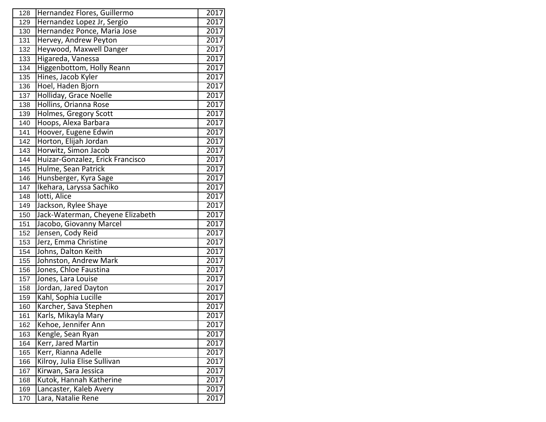| 128 | Hernandez Flores, Guillermo      | 2017              |
|-----|----------------------------------|-------------------|
| 129 | Hernandez Lopez Jr, Sergio       | 2017              |
| 130 | Hernandez Ponce, Maria Jose      | 2017              |
| 131 | Hervey, Andrew Peyton            | 2017              |
| 132 | Heywood, Maxwell Danger          | 2017              |
| 133 | Higareda, Vanessa                | 2017              |
| 134 | <b>Higgenbottom, Holly Reann</b> | 2017              |
| 135 | Hines, Jacob Kyler               | 2017              |
| 136 | Hoel, Haden Bjorn                | 2017              |
| 137 | Holliday, Grace Noelle           | 2017              |
| 138 | Hollins, Orianna Rose            | 2017              |
| 139 | Holmes, Gregory Scott            | 2017              |
| 140 | Hoops, Alexa Barbara             | 2017              |
| 141 | Hoover, Eugene Edwin             | 2017              |
| 142 | Horton, Elijah Jordan            | 2017              |
| 143 | Horwitz, Simon Jacob             | 2017              |
| 144 | Huizar-Gonzalez, Erick Francisco | 2017              |
| 145 | Hulme, Sean Patrick              | 2017              |
| 146 | Hunsberger, Kyra Sage            | 2017              |
| 147 | Ikehara, Laryssa Sachiko         | 2017              |
| 148 | lotti, Alice                     | 2017              |
| 149 | Jackson, Rylee Shaye             | 2017              |
| 150 | Jack-Waterman, Cheyene Elizabeth | 2017              |
| 151 | Jacobo, Giovanny Marcel          | $\overline{2017}$ |
| 152 | Jensen, Cody Reid                | 2017              |
| 153 | Jerz, Emma Christine             | 2017              |
| 154 | Johns, Dalton Keith              | 2017              |
| 155 | Johnston, Andrew Mark            | 2017              |
| 156 | Jones, Chloe Faustina            | 2017              |
| 157 | Jones, Lara Louise               | 2017              |
| 158 | Jordan, Jared Dayton             | 2017              |
| 159 | Kahl, Sophia Lucille             | 2017              |
| 160 | Karcher, Sava Stephen            | 2017              |
| 161 | Karls, Mikayla Mary              | 2017              |
| 162 | Kehoe, Jennifer Ann              | 2017              |
| 163 | Kengle, Sean Ryan                | 2017              |
| 164 | Kerr, Jared Martin               | 2017              |
| 165 | Kerr, Rianna Adelle              | 2017              |
| 166 | Kilroy, Julia Elise Sullivan     | 2017              |
| 167 | Kirwan, Sara Jessica             | 2017              |
| 168 | Kutok, Hannah Katherine          | 2017              |
| 169 | Lancaster, Kaleb Avery           | 2017              |
| 170 | Lara, Natalie Rene               | 2017              |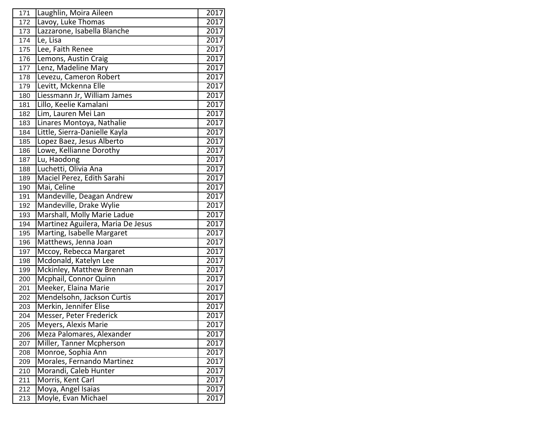| 171 | Laughlin, Moira Aileen            | 2017 |
|-----|-----------------------------------|------|
| 172 | Lavoy, Luke Thomas                | 2017 |
| 173 | Lazzarone, Isabella Blanche       | 2017 |
| 174 | Le, Lisa                          | 2017 |
| 175 | Lee, Faith Renee                  | 2017 |
| 176 | Lemons, Austin Craig              | 2017 |
| 177 | Lenz, Madeline Mary               | 2017 |
| 178 | Levezu, Cameron Robert            | 2017 |
| 179 | Levitt, Mckenna Elle              | 2017 |
| 180 | Liessmann Jr, William James       | 2017 |
| 181 | Lillo, Keelie Kamalani            | 2017 |
| 182 | Lim, Lauren Mei Lan               | 2017 |
| 183 | Linares Montoya, Nathalie         | 2017 |
| 184 | Little, Sierra-Danielle Kayla     | 2017 |
| 185 | Lopez Baez, Jesus Alberto         | 2017 |
| 186 | Lowe, Kellianne Dorothy           | 2017 |
| 187 | Lu, Haodong                       | 2017 |
| 188 | Luchetti, Olivia Ana              | 2017 |
| 189 | Maciel Perez, Edith Sarahi        | 2017 |
| 190 | Mai, Celine                       | 2017 |
| 191 | Mandeville, Deagan Andrew         | 2017 |
| 192 | Mandeville, Drake Wylie           | 2017 |
| 193 | Marshall, Molly Marie Ladue       | 2017 |
| 194 | Martinez Aguilera, Maria De Jesus | 2017 |
| 195 | Marting, Isabelle Margaret        | 2017 |
| 196 | Matthews, Jenna Joan              | 2017 |
| 197 | Mccoy, Rebecca Margaret           | 2017 |
| 198 | Mcdonald, Katelyn Lee             | 2017 |
| 199 | Mckinley, Matthew Brennan         | 2017 |
| 200 | Mcphail, Connor Quinn             | 2017 |
| 201 | Meeker, Elaina Marie              | 2017 |
| 202 | Mendelsohn, Jackson Curtis        | 2017 |
| 203 | Merkin, Jennifer Elise            | 2017 |
| 204 | Messer, Peter Frederick           | 2017 |
| 205 | Meyers, Alexis Marie              | 2017 |
| 206 | Meza Palomares, Alexander         | 2017 |
| 207 | Miller, Tanner Mcpherson          | 2017 |
| 208 | Monroe, Sophia Ann                | 2017 |
| 209 | Morales, Fernando Martinez        | 2017 |
| 210 | Morandi, Caleb Hunter             | 2017 |
| 211 | Morris, Kent Carl                 | 2017 |
| 212 | Moya, Angel Isaias                | 2017 |
| 213 | Moyle, Evan Michael               | 2017 |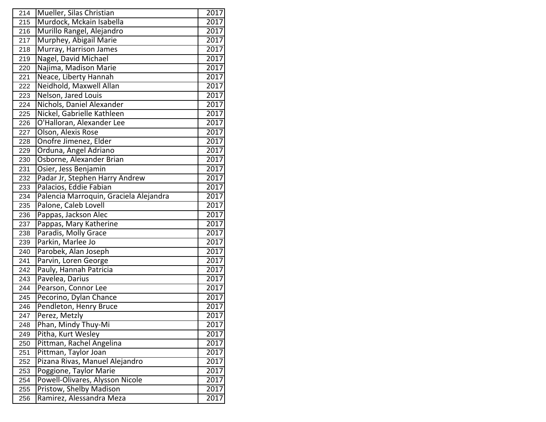| 214 | Mueller, Silas Christian               | 2017              |
|-----|----------------------------------------|-------------------|
| 215 | Murdock, Mckain Isabella               | 2017              |
| 216 | Murillo Rangel, Alejandro              | 2017              |
| 217 | Murphey, Abigail Marie                 | 2017              |
| 218 | Murray, Harrison James                 | 2017              |
| 219 | Nagel, David Michael                   | 2017              |
| 220 | Najima, Madison Marie                  | 2017              |
| 221 | Neace, Liberty Hannah                  | 2017              |
| 222 | Neidhold, Maxwell Allan                | 2017              |
| 223 | Nelson, Jared Louis                    | 2017              |
| 224 | Nichols, Daniel Alexander              | 2017              |
| 225 | Nickel, Gabrielle Kathleen             | 2017              |
| 226 | O'Halloran, Alexander Lee              | 2017              |
| 227 | Olson, Alexis Rose                     | 2017              |
| 228 | Onofre Jimenez, Elder                  | 2017              |
| 229 | Orduna, Angel Adriano                  | 2017              |
| 230 | Osborne, Alexander Brian               | 2017              |
| 231 | Osier, Jess Benjamin                   | 2017              |
| 232 | Padar Jr, Stephen Harry Andrew         | 2017              |
| 233 | Palacios, Eddie Fabian                 | 2017              |
| 234 | Palencia Marroquin, Graciela Alejandra | 2017              |
| 235 | Palone, Caleb Lovell                   | $\overline{2017}$ |
| 236 | Pappas, Jackson Alec                   | 2017              |
| 237 | Pappas, Mary Katherine                 | 2017              |
| 238 | Paradis, Molly Grace                   | 2017              |
| 239 | Parkin, Marlee Jo                      | 2017              |
| 240 | Parobek, Alan Joseph                   | 2017              |
| 241 | Parvin, Loren George                   | 2017              |
| 242 | Pauly, Hannah Patricia                 | 2017              |
| 243 | Pavelea, Darius                        | 2017              |
| 244 | Pearson, Connor Lee                    | 2017              |
| 245 | Pecorino, Dylan Chance                 | 2017              |
| 246 | Pendleton, Henry Bruce                 | 2017              |
| 247 | Perez, Metzly                          | 2017              |
| 248 | Phan, Mindy Thuy-Mi                    | 2017              |
| 249 | Pitha, Kurt Wesley                     | 2017              |
| 250 | Pittman, Rachel Angelina               | 2017              |
| 251 | Pittman, Taylor Joan                   | 2017              |
| 252 | Pizana Rivas, Manuel Alejandro         | 2017              |
| 253 | Poggione, Taylor Marie                 | 2017              |
| 254 | Powell-Olivares, Alysson Nicole        | 2017              |
| 255 | Pristow, Shelby Madison                | 2017              |
| 256 | Ramirez, Alessandra Meza               | 2017              |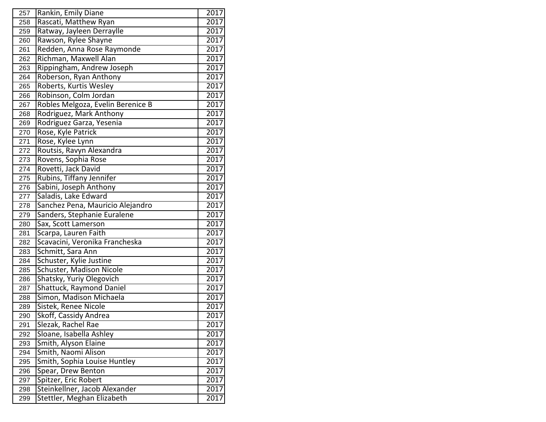| 257 | Rankin, Emily Diane               | 2017 |
|-----|-----------------------------------|------|
| 258 | Rascati, Matthew Ryan             | 2017 |
| 259 | Ratway, Jayleen Derraylle         | 2017 |
| 260 | Rawson, Rylee Shayne              | 2017 |
| 261 | Redden, Anna Rose Raymonde        | 2017 |
| 262 | Richman, Maxwell Alan             | 2017 |
| 263 | Rippingham, Andrew Joseph         | 2017 |
| 264 | Roberson, Ryan Anthony            | 2017 |
| 265 | Roberts, Kurtis Wesley            | 2017 |
| 266 | Robinson, Colm Jordan             | 2017 |
| 267 | Robles Melgoza, Evelin Berenice B | 2017 |
| 268 | Rodriguez, Mark Anthony           | 2017 |
| 269 | Rodriguez Garza, Yesenia          | 2017 |
| 270 | Rose, Kyle Patrick                | 2017 |
| 271 | Rose, Kylee Lynn                  | 2017 |
| 272 | Routsis, Ravyn Alexandra          | 2017 |
| 273 | Rovens, Sophia Rose               | 2017 |
| 274 | Rovetti, Jack David               | 2017 |
| 275 | Rubins, Tiffany Jennifer          | 2017 |
| 276 | Sabini, Joseph Anthony            | 2017 |
| 277 | Saladis, Lake Edward              | 2017 |
| 278 | Sanchez Pena, Mauricio Alejandro  | 2017 |
| 279 | Sanders, Stephanie Euralene       | 2017 |
| 280 | Sax, Scott Lamerson               | 2017 |
| 281 | Scarpa, Lauren Faith              | 2017 |
| 282 | Scavacini, Veronika Francheska    | 2017 |
| 283 | Schmitt, Sara Ann                 | 2017 |
| 284 | Schuster, Kylie Justine           | 2017 |
| 285 | Schuster, Madison Nicole          | 2017 |
| 286 | Shatsky, Yuriy Olegovich          | 2017 |
| 287 | Shattuck, Raymond Daniel          | 2017 |
| 288 | Simon, Madison Michaela           | 2017 |
| 289 | Sistek, Renee Nicole              | 2017 |
| 290 | Skoff, Cassidy Andrea             | 2017 |
| 291 | Slezak, Rachel Rae                | 2017 |
| 292 | Sloane, Isabella Ashley           | 2017 |
| 293 | Smith, Alyson Elaine              | 2017 |
| 294 | Smith, Naomi Alison               | 2017 |
| 295 | Smith, Sophia Louise Huntley      | 2017 |
| 296 | Spear, Drew Benton                | 2017 |
| 297 | Spitzer, Eric Robert              | 2017 |
| 298 | Steinkellner, Jacob Alexander     | 2017 |
| 299 | Stettler, Meghan Elizabeth        | 2017 |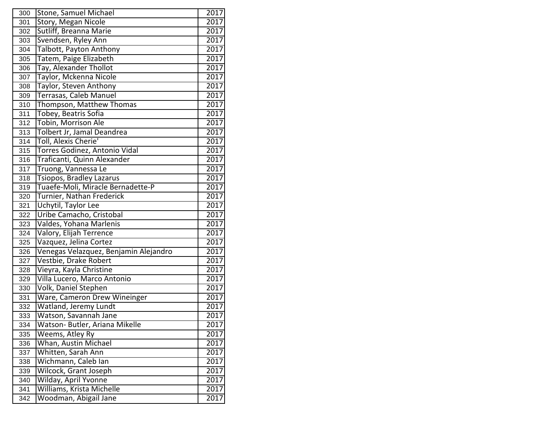| 300 | Stone, Samuel Michael                 | 2017 |
|-----|---------------------------------------|------|
| 301 | Story, Megan Nicole                   | 2017 |
| 302 | Sutliff, Breanna Marie                | 2017 |
| 303 | Svendsen, Ryley Ann                   | 2017 |
| 304 | Talbott, Payton Anthony               | 2017 |
| 305 | Tatem, Paige Elizabeth                | 2017 |
| 306 | Tay, Alexander Thollot                | 2017 |
| 307 | Taylor, Mckenna Nicole                | 2017 |
| 308 | Taylor, Steven Anthony                | 2017 |
| 309 | Terrasas, Caleb Manuel                | 2017 |
| 310 | Thompson, Matthew Thomas              | 2017 |
| 311 | Tobey, Beatris Sofia                  | 2017 |
| 312 | Tobin, Morrison Ale                   | 2017 |
| 313 | Tolbert Jr, Jamal Deandrea            | 2017 |
| 314 | Toll, Alexis Cherie'                  | 2017 |
| 315 | Torres Godinez, Antonio Vidal         | 2017 |
| 316 | Traficanti, Quinn Alexander           | 2017 |
| 317 | Truong, Vannessa Le                   | 2017 |
| 318 | Tsiopos, Bradley Lazarus              | 2017 |
| 319 | Tuaefe-Moli, Miracle Bernadette-P     | 2017 |
| 320 | Turnier, Nathan Frederick             | 2017 |
| 321 | Uchytil, Taylor Lee                   | 2017 |
| 322 | Uribe Camacho, Cristobal              | 2017 |
| 323 | Valdes, Yohana Marlenis               | 2017 |
| 324 | Valory, Elijah Terrence               | 2017 |
| 325 | Vazquez, Jelina Cortez                | 2017 |
| 326 | Venegas Velazquez, Benjamin Alejandro | 2017 |
| 327 | Vestbie, Drake Robert                 | 2017 |
| 328 | Vieyra, Kayla Christine               | 2017 |
| 329 | Villa Lucero, Marco Antonio           | 2017 |
| 330 | <b>Volk, Daniel Stephen</b>           | 2017 |
| 331 | Ware, Cameron Drew Wineinger          | 2017 |
| 332 | Watland, Jeremy Lundt                 | 2017 |
| 333 | Watson, Savannah Jane                 | 2017 |
| 334 | Watson- Butler, Ariana Mikelle        | 2017 |
| 335 | Weems, Atley Ry                       | 2017 |
| 336 | Whan, Austin Michael                  | 2017 |
| 337 | Whitten, Sarah Ann                    | 2017 |
| 338 | Wichmann, Caleb Ian                   | 2017 |
| 339 | Wilcock, Grant Joseph                 | 2017 |
| 340 | Wilday, April Yvonne                  | 2017 |
| 341 | Williams, Krista Michelle             | 2017 |
| 342 | Woodman, Abigail Jane                 | 2017 |